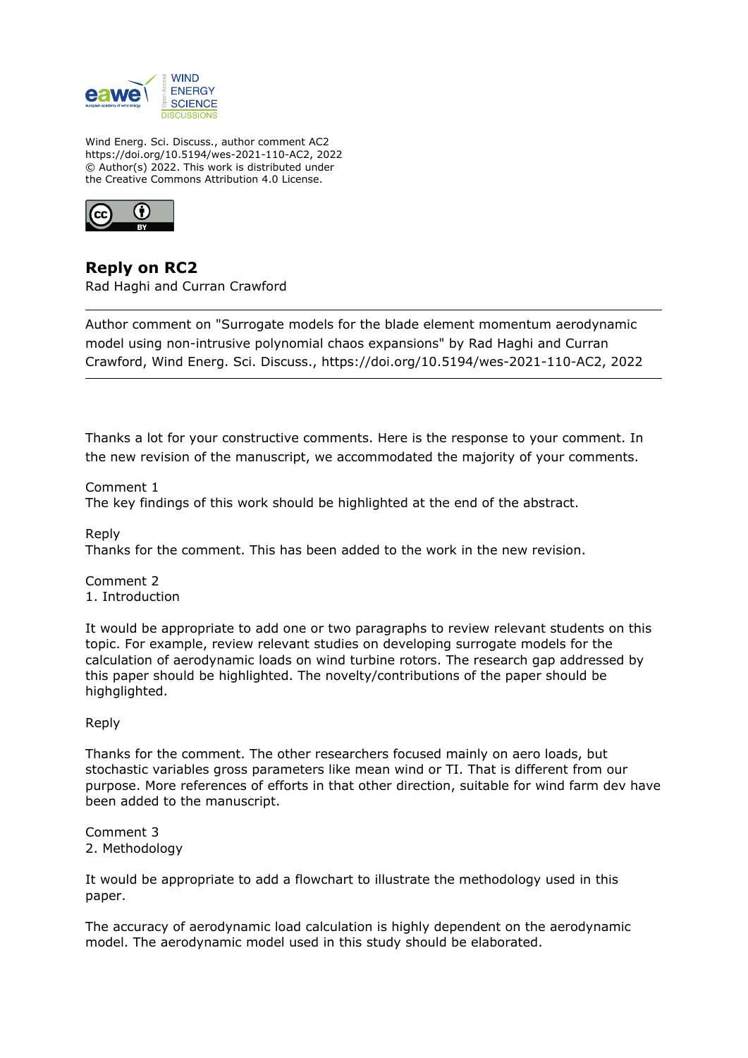

Wind Energ. Sci. Discuss., author comment AC2 https://doi.org/10.5194/wes-2021-110-AC2, 2022 © Author(s) 2022. This work is distributed under the Creative Commons Attribution 4.0 License.



**Reply on RC2** Rad Haghi and Curran Crawford

Author comment on "Surrogate models for the blade element momentum aerodynamic model using non-intrusive polynomial chaos expansions" by Rad Haghi and Curran Crawford, Wind Energ. Sci. Discuss., https://doi.org/10.5194/wes-2021-110-AC2, 2022

Thanks a lot for your constructive comments. Here is the response to your comment. In the new revision of the manuscript, we accommodated the majority of your comments.

Comment 1 The key findings of this work should be highlighted at the end of the abstract.

Reply Thanks for the comment. This has been added to the work in the new revision.

Comment 2 1. Introduction

It would be appropriate to add one or two paragraphs to review relevant students on this topic. For example, review relevant studies on developing surrogate models for the calculation of aerodynamic loads on wind turbine rotors. The research gap addressed by this paper should be highlighted. The novelty/contributions of the paper should be highglighted.

## Reply

Thanks for the comment. The other researchers focused mainly on aero loads, but stochastic variables gross parameters like mean wind or TI. That is different from our purpose. More references of efforts in that other direction, suitable for wind farm dev have been added to the manuscript.

Comment 3 2. Methodology

It would be appropriate to add a flowchart to illustrate the methodology used in this paper.

The accuracy of aerodynamic load calculation is highly dependent on the aerodynamic model. The aerodynamic model used in this study should be elaborated.